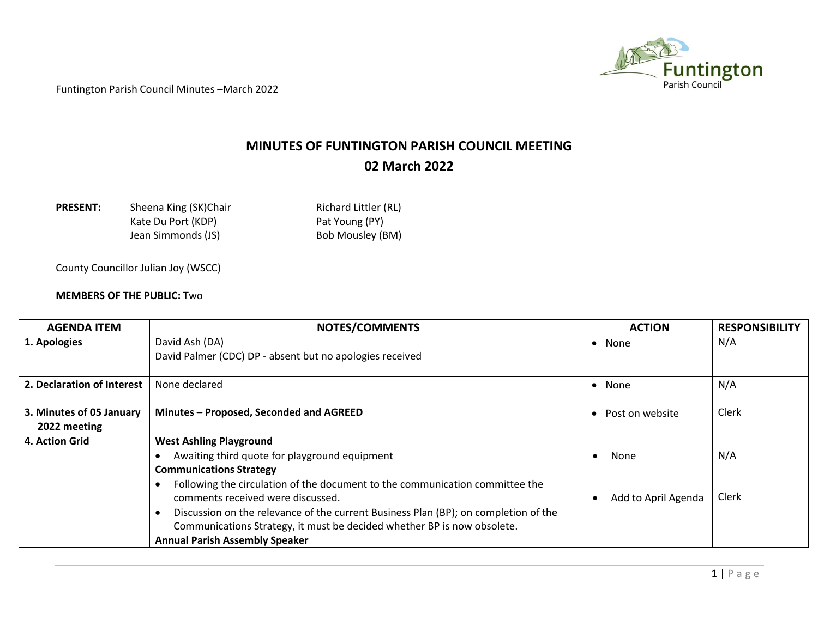

## **MINUTES OF FUNTINGTON PARISH COUNCIL MEETING 02 March 2022**

| <b>PRESENT:</b> | Sheena King (SK)Cha |
|-----------------|---------------------|
|                 | Kate Du Port (KDP)  |
|                 | Jean Simmonds (JS)  |

**PRESENT:** PRESENT Richard Littler (RL) Pat Young (PY) Bob Mousley (BM)

County Councillor Julian Joy (WSCC)

## **MEMBERS OF THE PUBLIC:** Two

| <b>AGENDA ITEM</b>         | <b>NOTES/COMMENTS</b>                                                               | <b>ACTION</b>       | <b>RESPONSIBILITY</b> |
|----------------------------|-------------------------------------------------------------------------------------|---------------------|-----------------------|
| 1. Apologies               | David Ash (DA)                                                                      | None                | N/A                   |
|                            | David Palmer (CDC) DP - absent but no apologies received                            |                     |                       |
| 2. Declaration of Interest | None declared                                                                       | None                | N/A                   |
| 3. Minutes of 05 January   | Minutes - Proposed, Seconded and AGREED                                             | Post on website     | Clerk                 |
| 2022 meeting               |                                                                                     |                     |                       |
| 4. Action Grid             | <b>West Ashling Playground</b>                                                      |                     |                       |
|                            | Awaiting third quote for playground equipment                                       | None                | N/A                   |
|                            | <b>Communications Strategy</b>                                                      |                     |                       |
|                            | Following the circulation of the document to the communication committee the        |                     |                       |
|                            | comments received were discussed.                                                   | Add to April Agenda | Clerk                 |
|                            | Discussion on the relevance of the current Business Plan (BP); on completion of the |                     |                       |
|                            | Communications Strategy, it must be decided whether BP is now obsolete.             |                     |                       |
|                            | <b>Annual Parish Assembly Speaker</b>                                               |                     |                       |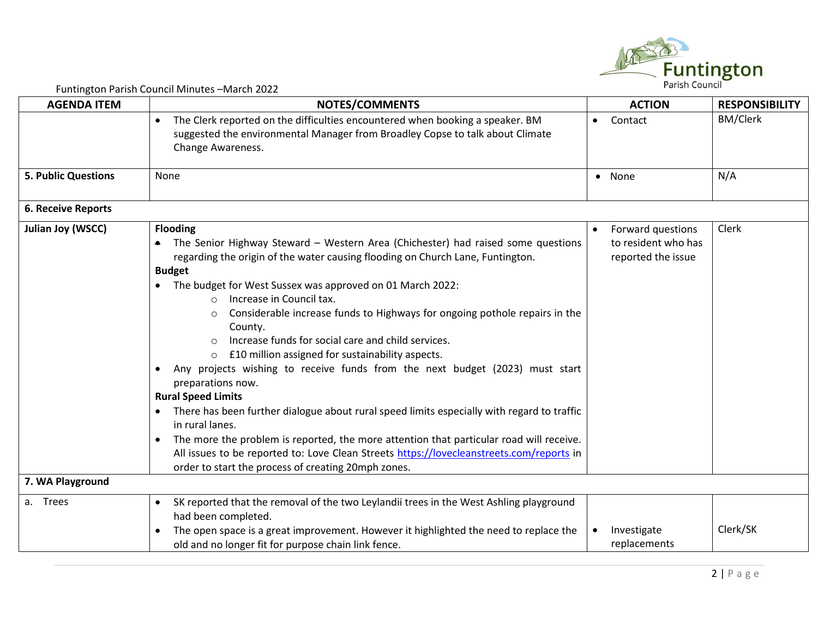

| <b>AGENDA ITEM</b>         | $\frac{1}{2}$<br>NOTES/COMMENTS                                                                                                                                                                                                                                                                                                                                                                                                                                                                                                                                                                                                                                                                                                                                                                                                                                                                                                                                                                                                             | <b>ACTION</b>                                                  | <b>RESPONSIBILITY</b> |
|----------------------------|---------------------------------------------------------------------------------------------------------------------------------------------------------------------------------------------------------------------------------------------------------------------------------------------------------------------------------------------------------------------------------------------------------------------------------------------------------------------------------------------------------------------------------------------------------------------------------------------------------------------------------------------------------------------------------------------------------------------------------------------------------------------------------------------------------------------------------------------------------------------------------------------------------------------------------------------------------------------------------------------------------------------------------------------|----------------------------------------------------------------|-----------------------|
|                            | The Clerk reported on the difficulties encountered when booking a speaker. BM<br>$\bullet$<br>suggested the environmental Manager from Broadley Copse to talk about Climate<br>Change Awareness.                                                                                                                                                                                                                                                                                                                                                                                                                                                                                                                                                                                                                                                                                                                                                                                                                                            | Contact<br>$\bullet$                                           | <b>BM/Clerk</b>       |
| <b>5. Public Questions</b> | None                                                                                                                                                                                                                                                                                                                                                                                                                                                                                                                                                                                                                                                                                                                                                                                                                                                                                                                                                                                                                                        | • None                                                         | N/A                   |
| <b>6. Receive Reports</b>  |                                                                                                                                                                                                                                                                                                                                                                                                                                                                                                                                                                                                                                                                                                                                                                                                                                                                                                                                                                                                                                             |                                                                |                       |
| <b>Julian Joy (WSCC)</b>   | <b>Flooding</b><br>The Senior Highway Steward - Western Area (Chichester) had raised some questions<br>regarding the origin of the water causing flooding on Church Lane, Funtington.<br><b>Budget</b><br>The budget for West Sussex was approved on 01 March 2022:<br>Increase in Council tax.<br>∩<br>Considerable increase funds to Highways for ongoing pothole repairs in the<br>$\circ$<br>County.<br>Increase funds for social care and child services.<br>£10 million assigned for sustainability aspects.<br>$\circ$<br>Any projects wishing to receive funds from the next budget (2023) must start<br>preparations now.<br><b>Rural Speed Limits</b><br>There has been further dialogue about rural speed limits especially with regard to traffic<br>$\bullet$<br>in rural lanes.<br>The more the problem is reported, the more attention that particular road will receive.<br>All issues to be reported to: Love Clean Streets https://lovecleanstreets.com/reports in<br>order to start the process of creating 20mph zones. | Forward questions<br>to resident who has<br>reported the issue | Clerk                 |
| 7. WA Playground           |                                                                                                                                                                                                                                                                                                                                                                                                                                                                                                                                                                                                                                                                                                                                                                                                                                                                                                                                                                                                                                             |                                                                |                       |
| a. Trees                   | SK reported that the removal of the two Leylandii trees in the West Ashling playground<br>$\bullet$<br>had been completed.<br>The open space is a great improvement. However it highlighted the need to replace the<br>$\bullet$<br>old and no longer fit for purpose chain link fence.                                                                                                                                                                                                                                                                                                                                                                                                                                                                                                                                                                                                                                                                                                                                                     | Investigate<br>replacements                                    | Clerk/SK              |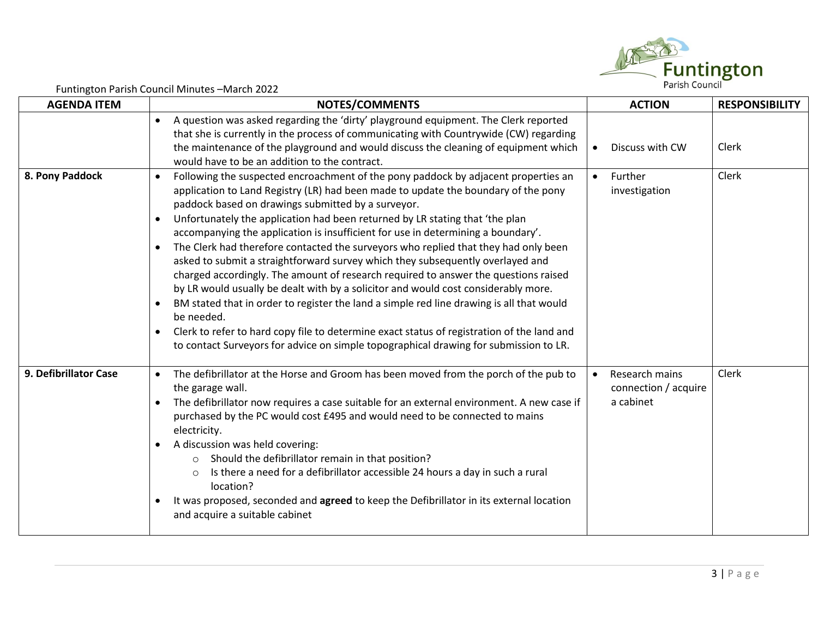

| <b>AGENDA ITEM</b>    | NOTES/COMMENTS                                                                                                                                                                                                                                                                                                                                                                                                                                                                                                                                                                                                                                                                                                                                                                                                                                                                                                                                                                                                                                            | <b>ACTION</b>                                       | <b>RESPONSIBILITY</b> |
|-----------------------|-----------------------------------------------------------------------------------------------------------------------------------------------------------------------------------------------------------------------------------------------------------------------------------------------------------------------------------------------------------------------------------------------------------------------------------------------------------------------------------------------------------------------------------------------------------------------------------------------------------------------------------------------------------------------------------------------------------------------------------------------------------------------------------------------------------------------------------------------------------------------------------------------------------------------------------------------------------------------------------------------------------------------------------------------------------|-----------------------------------------------------|-----------------------|
|                       | A question was asked regarding the 'dirty' playground equipment. The Clerk reported<br>$\bullet$<br>that she is currently in the process of communicating with Countrywide (CW) regarding<br>the maintenance of the playground and would discuss the cleaning of equipment which<br>would have to be an addition to the contract.                                                                                                                                                                                                                                                                                                                                                                                                                                                                                                                                                                                                                                                                                                                         | Discuss with CW                                     | Clerk                 |
| 8. Pony Paddock       | Following the suspected encroachment of the pony paddock by adjacent properties an<br>application to Land Registry (LR) had been made to update the boundary of the pony<br>paddock based on drawings submitted by a surveyor.<br>Unfortunately the application had been returned by LR stating that 'the plan<br>accompanying the application is insufficient for use in determining a boundary'.<br>The Clerk had therefore contacted the surveyors who replied that they had only been<br>asked to submit a straightforward survey which they subsequently overlayed and<br>charged accordingly. The amount of research required to answer the questions raised<br>by LR would usually be dealt with by a solicitor and would cost considerably more.<br>BM stated that in order to register the land a simple red line drawing is all that would<br>be needed.<br>Clerk to refer to hard copy file to determine exact status of registration of the land and<br>to contact Surveyors for advice on simple topographical drawing for submission to LR. | Further<br>investigation                            | Clerk                 |
| 9. Defibrillator Case | The defibrillator at the Horse and Groom has been moved from the porch of the pub to<br>the garage wall.<br>The defibrillator now requires a case suitable for an external environment. A new case if<br>purchased by the PC would cost £495 and would need to be connected to mains<br>electricity.<br>A discussion was held covering:<br>Should the defibrillator remain in that position?<br>$\circ$<br>Is there a need for a defibrillator accessible 24 hours a day in such a rural<br>$\Omega$<br>location?<br>It was proposed, seconded and agreed to keep the Defibrillator in its external location<br>and acquire a suitable cabinet                                                                                                                                                                                                                                                                                                                                                                                                            | Research mains<br>connection / acquire<br>a cabinet | Clerk                 |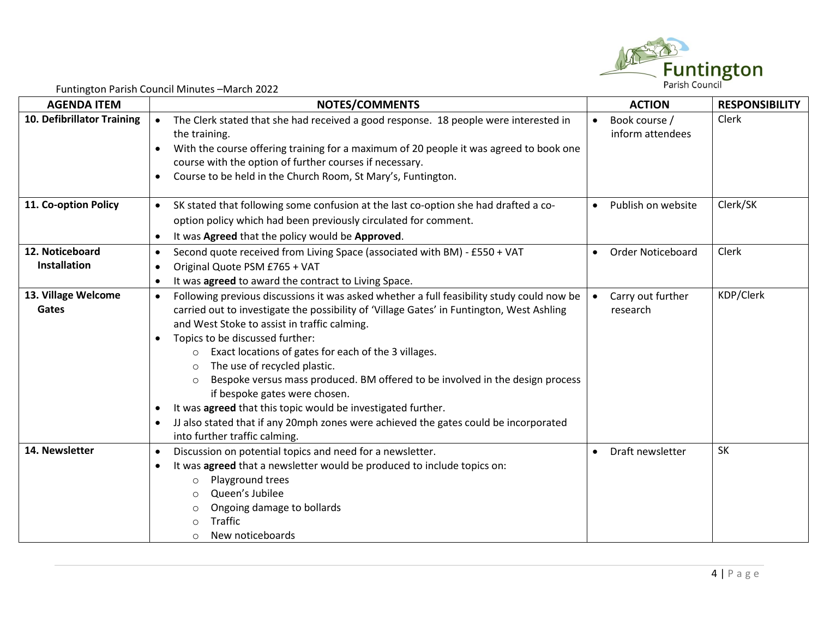

| <b>AGENDA ITEM</b>         | <b>NOTES/COMMENTS</b>                                                                               | <b>ACTION</b>                         | <b>RESPONSIBILITY</b> |
|----------------------------|-----------------------------------------------------------------------------------------------------|---------------------------------------|-----------------------|
| 10. Defibrillator Training | The Clerk stated that she had received a good response. 18 people were interested in<br>$\bullet$   | Book course /<br>$\bullet$            | Clerk                 |
|                            | the training.                                                                                       | inform attendees                      |                       |
|                            | With the course offering training for a maximum of 20 people it was agreed to book one<br>$\bullet$ |                                       |                       |
|                            | course with the option of further courses if necessary.                                             |                                       |                       |
|                            | Course to be held in the Church Room, St Mary's, Funtington.                                        |                                       |                       |
| 11. Co-option Policy       | SK stated that following some confusion at the last co-option she had drafted a co-<br>$\bullet$    | Publish on website<br>$\bullet$       | Clerk/SK              |
|                            | option policy which had been previously circulated for comment.                                     |                                       |                       |
|                            | It was Agreed that the policy would be Approved.<br>$\bullet$                                       |                                       |                       |
| 12. Noticeboard            | Second quote received from Living Space (associated with BM) - £550 + VAT<br>$\bullet$              | <b>Order Noticeboard</b><br>$\bullet$ | Clerk                 |
| Installation               | Original Quote PSM £765 + VAT<br>$\bullet$                                                          |                                       |                       |
|                            | It was agreed to award the contract to Living Space.                                                |                                       |                       |
| 13. Village Welcome        | Following previous discussions it was asked whether a full feasibility study could now be           | Carry out further                     | KDP/Clerk             |
| Gates                      | carried out to investigate the possibility of 'Village Gates' in Funtington, West Ashling           | research                              |                       |
|                            | and West Stoke to assist in traffic calming.                                                        |                                       |                       |
|                            | Topics to be discussed further:                                                                     |                                       |                       |
|                            | Exact locations of gates for each of the 3 villages.<br>$\Omega$                                    |                                       |                       |
|                            | The use of recycled plastic.<br>$\circ$                                                             |                                       |                       |
|                            | Bespoke versus mass produced. BM offered to be involved in the design process<br>$\circ$            |                                       |                       |
|                            | if bespoke gates were chosen.                                                                       |                                       |                       |
|                            | It was agreed that this topic would be investigated further.<br>$\bullet$                           |                                       |                       |
|                            | JJ also stated that if any 20mph zones were achieved the gates could be incorporated                |                                       |                       |
|                            | into further traffic calming.                                                                       |                                       |                       |
| 14. Newsletter             | Discussion on potential topics and need for a newsletter.<br>$\bullet$                              | Draft newsletter<br>$\bullet$         | <b>SK</b>             |
|                            | It was agreed that a newsletter would be produced to include topics on:                             |                                       |                       |
|                            | Playground trees<br>$\circ$                                                                         |                                       |                       |
|                            | Queen's Jubilee<br>$\Omega$                                                                         |                                       |                       |
|                            | Ongoing damage to bollards<br>$\circ$                                                               |                                       |                       |
|                            | <b>Traffic</b>                                                                                      |                                       |                       |
|                            | New noticeboards<br>$\circ$                                                                         |                                       |                       |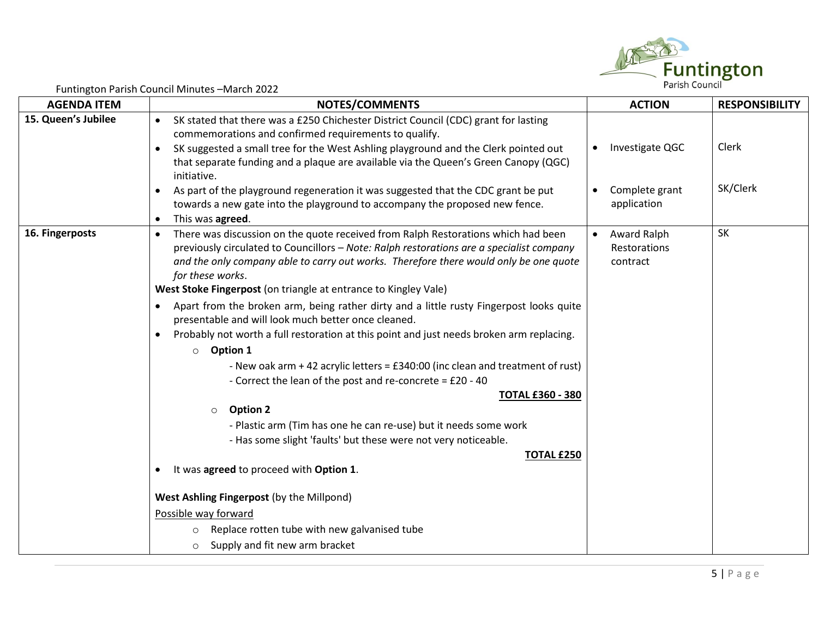

| <b>AGENDA ITEM</b>  | <b>NOTES/COMMENTS</b>                                                                                                                                       | <b>ACTION</b>                | <b>RESPONSIBILITY</b> |
|---------------------|-------------------------------------------------------------------------------------------------------------------------------------------------------------|------------------------------|-----------------------|
| 15. Queen's Jubilee | SK stated that there was a £250 Chichester District Council (CDC) grant for lasting<br>$\bullet$                                                            |                              |                       |
|                     | commemorations and confirmed requirements to qualify.                                                                                                       |                              |                       |
|                     | SK suggested a small tree for the West Ashling playground and the Clerk pointed out<br>$\bullet$                                                            | Investigate QGC<br>$\bullet$ | Clerk                 |
|                     | that separate funding and a plaque are available via the Queen's Green Canopy (QGC)<br>initiative.                                                          |                              |                       |
|                     | As part of the playground regeneration it was suggested that the CDC grant be put<br>$\bullet$                                                              | Complete grant               | SK/Clerk              |
|                     | towards a new gate into the playground to accompany the proposed new fence.                                                                                 | application                  |                       |
|                     | This was agreed.<br>$\bullet$                                                                                                                               |                              |                       |
| 16. Fingerposts     | There was discussion on the quote received from Ralph Restorations which had been<br>$\bullet$                                                              | Award Ralph<br>$\bullet$     | <b>SK</b>             |
|                     | previously circulated to Councillors - Note: Ralph restorations are a specialist company                                                                    | Restorations                 |                       |
|                     | and the only company able to carry out works. Therefore there would only be one quote                                                                       | contract                     |                       |
|                     | for these works.                                                                                                                                            |                              |                       |
|                     | West Stoke Fingerpost (on triangle at entrance to Kingley Vale)                                                                                             |                              |                       |
|                     | Apart from the broken arm, being rather dirty and a little rusty Fingerpost looks quite<br>$\bullet$<br>presentable and will look much better once cleaned. |                              |                       |
|                     | Probably not worth a full restoration at this point and just needs broken arm replacing.<br>$\bullet$                                                       |                              |                       |
|                     | $\circ$ Option 1                                                                                                                                            |                              |                       |
|                     | - New oak arm + 42 acrylic letters = £340:00 (inc clean and treatment of rust)                                                                              |                              |                       |
|                     | - Correct the lean of the post and re-concrete = £20 - 40                                                                                                   |                              |                       |
|                     | <b>TOTAL £360 - 380</b>                                                                                                                                     |                              |                       |
|                     | <b>Option 2</b><br>$\circ$                                                                                                                                  |                              |                       |
|                     | - Plastic arm (Tim has one he can re-use) but it needs some work                                                                                            |                              |                       |
|                     | - Has some slight 'faults' but these were not very noticeable.                                                                                              |                              |                       |
|                     | <b>TOTAL £250</b>                                                                                                                                           |                              |                       |
|                     | It was agreed to proceed with Option 1.<br>$\bullet$                                                                                                        |                              |                       |
|                     | West Ashling Fingerpost (by the Millpond)                                                                                                                   |                              |                       |
|                     | Possible way forward                                                                                                                                        |                              |                       |
|                     | Replace rotten tube with new galvanised tube<br>$\circ$                                                                                                     |                              |                       |
|                     | Supply and fit new arm bracket<br>$\circ$                                                                                                                   |                              |                       |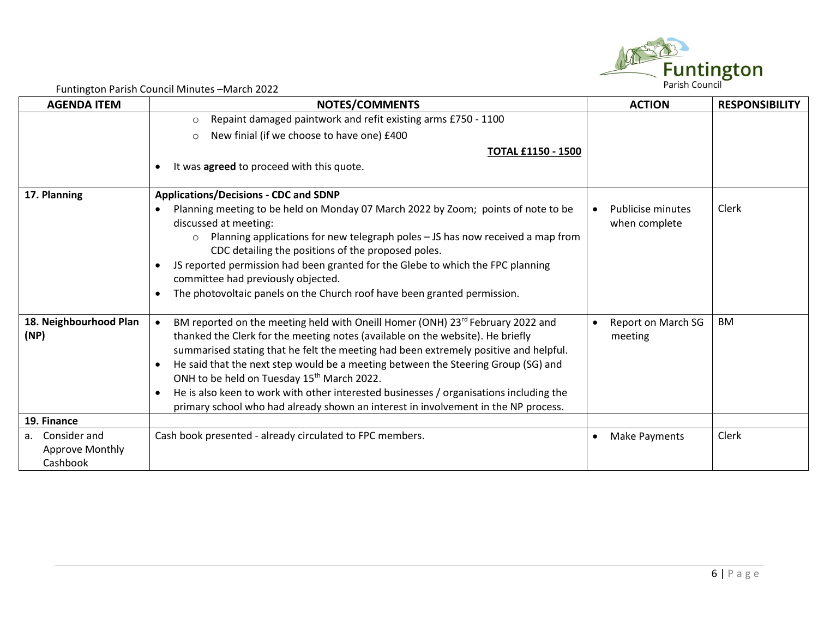

| <b>AGENDA ITEM</b>                 | NOTES/COMMENTS                                                                                                                                                                                                                                                                                                                                                                                                                                                                                                                                                                          | <b>ACTION</b>                             | <b>RESPONSIBILITY</b> |
|------------------------------------|-----------------------------------------------------------------------------------------------------------------------------------------------------------------------------------------------------------------------------------------------------------------------------------------------------------------------------------------------------------------------------------------------------------------------------------------------------------------------------------------------------------------------------------------------------------------------------------------|-------------------------------------------|-----------------------|
|                                    | Repaint damaged paintwork and refit existing arms £750 - 1100<br>$\circ$                                                                                                                                                                                                                                                                                                                                                                                                                                                                                                                |                                           |                       |
|                                    | New finial (if we choose to have one) £400<br>$\circ$                                                                                                                                                                                                                                                                                                                                                                                                                                                                                                                                   |                                           |                       |
|                                    | <b>TOTAL £1150 - 1500</b>                                                                                                                                                                                                                                                                                                                                                                                                                                                                                                                                                               |                                           |                       |
|                                    | It was agreed to proceed with this quote.                                                                                                                                                                                                                                                                                                                                                                                                                                                                                                                                               |                                           |                       |
| 17. Planning                       | <b>Applications/Decisions - CDC and SDNP</b>                                                                                                                                                                                                                                                                                                                                                                                                                                                                                                                                            |                                           |                       |
|                                    | Planning meeting to be held on Monday 07 March 2022 by Zoom; points of note to be<br>discussed at meeting:<br>Planning applications for new telegraph poles - JS has now received a map from<br>$\circ$                                                                                                                                                                                                                                                                                                                                                                                 | <b>Publicise minutes</b><br>when complete | Clerk                 |
|                                    | CDC detailing the positions of the proposed poles.<br>JS reported permission had been granted for the Glebe to which the FPC planning                                                                                                                                                                                                                                                                                                                                                                                                                                                   |                                           |                       |
|                                    | committee had previously objected.<br>The photovoltaic panels on the Church roof have been granted permission.                                                                                                                                                                                                                                                                                                                                                                                                                                                                          |                                           |                       |
| 18. Neighbourhood Plan<br>(NP)     | BM reported on the meeting held with Oneill Homer (ONH) 23rd February 2022 and<br>thanked the Clerk for the meeting notes (available on the website). He briefly<br>summarised stating that he felt the meeting had been extremely positive and helpful.<br>He said that the next step would be a meeting between the Steering Group (SG) and<br>ONH to be held on Tuesday 15 <sup>th</sup> March 2022.<br>He is also keen to work with other interested businesses / organisations including the<br>primary school who had already shown an interest in involvement in the NP process. | Report on March SG<br>meeting             | <b>BM</b>             |
| 19. Finance                        |                                                                                                                                                                                                                                                                                                                                                                                                                                                                                                                                                                                         |                                           |                       |
| Consider and<br>a <sub>z</sub>     | Cash book presented - already circulated to FPC members.                                                                                                                                                                                                                                                                                                                                                                                                                                                                                                                                | Make Payments<br>$\bullet$                | Clerk                 |
| <b>Approve Monthly</b><br>Cashbook |                                                                                                                                                                                                                                                                                                                                                                                                                                                                                                                                                                                         |                                           |                       |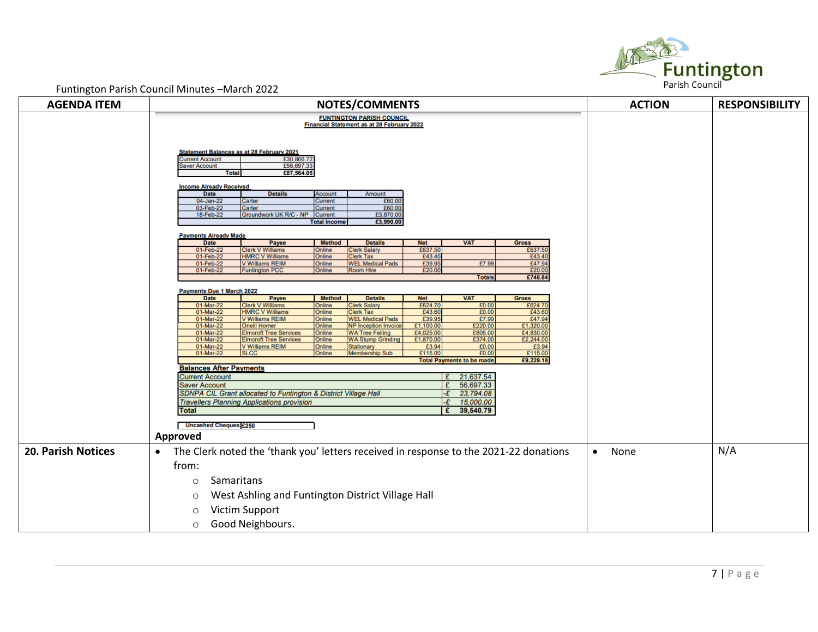

| <b>AGENDA ITEM</b>        | <b>NOTES/COMMENTS</b>                                                                                                                                                                                                                                                                   |                                                                                                                                    |                                                       |                                                                                                                                  |                                                       |                                                                                    |                                                         | <b>ACTION</b>     | <b>RESPONSIBILITY</b> |
|---------------------------|-----------------------------------------------------------------------------------------------------------------------------------------------------------------------------------------------------------------------------------------------------------------------------------------|------------------------------------------------------------------------------------------------------------------------------------|-------------------------------------------------------|----------------------------------------------------------------------------------------------------------------------------------|-------------------------------------------------------|------------------------------------------------------------------------------------|---------------------------------------------------------|-------------------|-----------------------|
|                           | <b>FUNTINGTON PARISH COUNCIL</b><br><b>Financial Statement as at 28 February 2022</b><br><b>Statement Balances as at 28 February 2021</b><br>£30,866.72<br><b>Current Account</b><br>£56,697.33<br><b>Saver Account</b><br>£87,564.05<br><b>Total</b><br><b>Income Already Received</b> |                                                                                                                                    |                                                       |                                                                                                                                  |                                                       |                                                                                    |                                                         |                   |                       |
|                           |                                                                                                                                                                                                                                                                                         |                                                                                                                                    |                                                       |                                                                                                                                  |                                                       |                                                                                    |                                                         |                   |                       |
|                           | <b>Date</b><br>04-Jan-22<br>03-Feb-22<br>18-Feb-22                                                                                                                                                                                                                                      | <b>Details</b><br>Carter<br>Carter<br>Groundwork UK R/C - NP                                                                       | Account<br>Current<br>Current<br>Current              | Amount<br>£60.00<br>£60.00<br>£3,870.00                                                                                          |                                                       |                                                                                    |                                                         |                   |                       |
|                           | <b>Payments Already Made</b>                                                                                                                                                                                                                                                            |                                                                                                                                    | <b>Total Income</b>                                   | £3,990.00                                                                                                                        |                                                       |                                                                                    |                                                         |                   |                       |
|                           | <b>Date</b><br>01-Feb-22<br>01-Feb-22<br>01-Feb-22<br>01-Feb-22                                                                                                                                                                                                                         | Payee<br><b>Clerk V Williams</b><br><b>HMRC V Williams</b><br><b>V Williams REIM</b><br><b>Funtington PCC</b>                      | <b>Method</b><br>Online<br>Online<br>Online<br>Online | <b>Details</b><br><b>Clerk Salary</b><br><b>Clerk Tax</b><br><b>WEL Medical Pads</b><br><b>Room Hire</b>                         | <b>Net</b><br>£637.50<br>£43.40<br>£39.95<br>£20.00   | <b>VAT</b><br>£7.99                                                                | <b>Gross</b><br>£637.50<br>£43.40<br>£47.94<br>£20.00   |                   |                       |
|                           | Payments Due 1 March 2022<br><b>Date</b><br>01-Mar-22                                                                                                                                                                                                                                   | Payee<br><b>Clerk V Williams</b>                                                                                                   | <b>Method</b><br>Online                               | <b>Details</b><br><b>Clerk Salary</b>                                                                                            | <b>Net</b><br>£624.70                                 | <b>Totals</b><br><b>VAT</b><br>£0.00                                               | £748.84<br><b>Gross</b><br>£624.70                      |                   |                       |
|                           | 01-Mar-22<br>01-Mar-22<br>01-Mar-22<br>01-Mar-22<br>01-Mar-22                                                                                                                                                                                                                           | <b>HMRC V Williams</b><br>V Williams REIM<br><b>Oneill Homer</b><br><b>Elmcroft Tree Services</b><br><b>Elmcroft Tree Services</b> | Online<br>Online<br>Online<br>Online<br>Online        | <b>Clerk Tax</b><br><b>WEL Medical Pads</b><br><b>NP</b> Inception Invoice<br><b>WA Tree Felling</b><br><b>WA Stump Grinding</b> | £43.6<br>£39.9<br>£1,100.00<br>£4,025.00<br>£1,870.00 | £0.00<br>£7.99<br>£220.00<br>£805.00<br>£374.00                                    | £43.60<br>£47.94<br>£1,320.00<br>£4,830.00<br>£2,244.00 |                   |                       |
|                           | 01-Mar-22<br>01-Mar-22<br><b>Balances After Payments</b>                                                                                                                                                                                                                                | <b>V Williams REIM</b><br><b>SLCC</b>                                                                                              | Online<br>Online                                      | Stationary<br><b>Membership Sub</b>                                                                                              | £3.94<br>£115.00                                      | £0.00<br>£0.00<br><b>Total Payments to be made</b>                                 | £3.94<br>£115.00<br>£9,229.18                           |                   |                       |
|                           | <b>Current Account</b><br><b>Saver Account</b><br>Total                                                                                                                                                                                                                                 | SDNPA CIL Grant allocated to Funtington & District Village Hall<br><b>Travellers Planning Applications provision</b>               |                                                       |                                                                                                                                  |                                                       | 21,637.54<br>56,697.33<br>£<br>23,794.08<br>-£<br>$-E$ 15,000.00<br>£<br>39,540.79 |                                                         |                   |                       |
|                           | <b>Uncashed Cheques £250</b><br>Approved                                                                                                                                                                                                                                                |                                                                                                                                    |                                                       |                                                                                                                                  |                                                       |                                                                                    |                                                         |                   |                       |
| <b>20. Parish Notices</b> | The Clerk noted the 'thank you' letters received in response to the 2021-22 donations<br>$\bullet$<br>from:                                                                                                                                                                             |                                                                                                                                    |                                                       |                                                                                                                                  |                                                       |                                                                                    |                                                         | None<br>$\bullet$ | N/A                   |
|                           | Samaritans<br>$\circ$<br>$\circ$                                                                                                                                                                                                                                                        | West Ashling and Funtington District Village Hall                                                                                  |                                                       |                                                                                                                                  |                                                       |                                                                                    |                                                         |                   |                       |
|                           | $\circ$<br>$\circ$                                                                                                                                                                                                                                                                      | Victim Support<br>Good Neighbours.                                                                                                 |                                                       |                                                                                                                                  |                                                       |                                                                                    |                                                         |                   |                       |